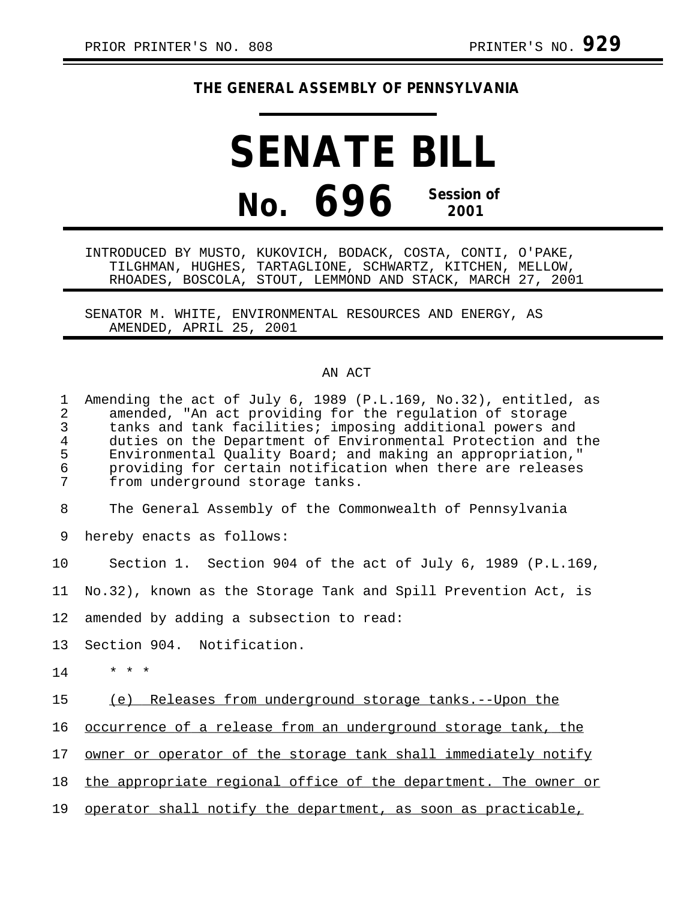## **THE GENERAL ASSEMBLY OF PENNSYLVANIA**

## **SENATE BILL No. 696 Session of 2001**

INTRODUCED BY MUSTO, KUKOVICH, BODACK, COSTA, CONTI, O'PAKE, TILGHMAN, HUGHES, TARTAGLIONE, SCHWARTZ, KITCHEN, MELLOW, RHOADES, BOSCOLA, STOUT, LEMMOND AND STACK, MARCH 27, 2001

SENATOR M. WHITE, ENVIRONMENTAL RESOURCES AND ENERGY, AS AMENDED, APRIL 25, 2001

## AN ACT

1 Amending the act of July 6, 1989 (P.L.169, No.32), entitled, as<br>2 amended. "An act providing for the regulation of storage 2 amended, "An act providing for the regulation of storage tanks and tank facilities; imposing additional powers and 4 duties on the Department of Environmental Protection and the<br>5 Environmental Ouality Board; and making an appropriation," 5 Environmental Quality Board; and making an appropriation," 6 providing for certain notification when there are releases from underground storage tanks.

8 The General Assembly of the Commonwealth of Pennsylvania

9 hereby enacts as follows:

10 Section 1. Section 904 of the act of July 6, 1989 (P.L.169,

11 No.32), known as the Storage Tank and Spill Prevention Act, is

12 amended by adding a subsection to read:

13 Section 904. Notification.

 $14$  \* \* \*

15 (e) Releases from underground storage tanks.--Upon the

16 occurrence of a release from an underground storage tank, the

17 owner or operator of the storage tank shall immediately notify

18 the appropriate regional office of the department. The owner or

19 operator shall notify the department, as soon as practicable,